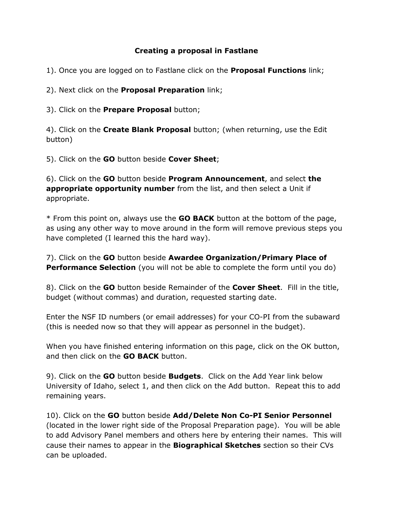## **Creating a proposal in Fastlane**

- 1). Once you are logged on to Fastlane click on the **Proposal Functions** link;
- 2). Next click on the **Proposal Preparation** link;
- 3). Click on the **Prepare Proposal** button;

4). Click on the **Create Blank Proposal** button; (when returning, use the Edit button)

5). Click on the **GO** button beside **Cover Sheet**;

6). Click on the **GO** button beside **Program Announcement**, and select **the appropriate opportunity number** from the list, and then select a Unit if appropriate.

\* From this point on, always use the **GO BACK** button at the bottom of the page, as using any other way to move around in the form will remove previous steps you have completed (I learned this the hard way).

7). Click on the **GO** button beside **Awardee Organization/Primary Place of Performance Selection** (you will not be able to complete the form until you do)

8). Click on the **GO** button beside Remainder of the **Cover Sheet**. Fill in the title, budget (without commas) and duration, requested starting date.

Enter the NSF ID numbers (or email addresses) for your CO-PI from the subaward (this is needed now so that they will appear as personnel in the budget).

When you have finished entering information on this page, click on the OK button, and then click on the **GO BACK** button.

9). Click on the **GO** button beside **Budgets**. Click on the Add Year link below University of Idaho, select 1, and then click on the Add button. Repeat this to add remaining years.

10). Click on the **GO** button beside **Add/Delete Non Co-PI Senior Personnel** (located in the lower right side of the Proposal Preparation page). You will be able to add Advisory Panel members and others here by entering their names. This will cause their names to appear in the **Biographical Sketches** section so their CVs can be uploaded.